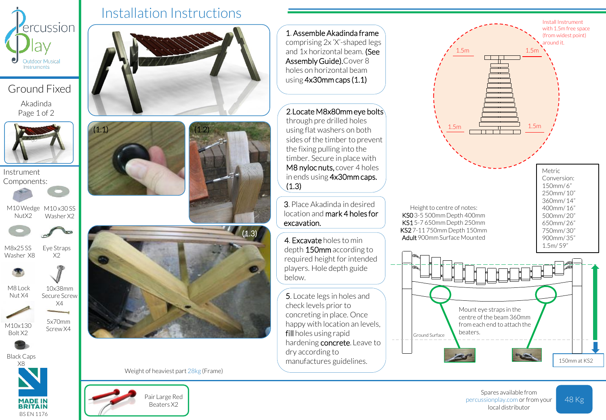

Ground Fixed Akadinda

Page 1 of 2

Instrument Components:



M10 Wedge M10 x30 SS NutX2 Washer X2



M8x25 SS Washer X8



10x38mm

Eye Straps X2

X4

5x70mm Screw X4

M8 Lock Nut X4



M10x130 Bolt X2



Black Caps



BS EN 1176

Installation Instructions







Weight of heaviest part 28kg (Frame)



1. Assemble Akadinda frame comprising 2x 'X'-shaped legs and 1x horizontal beam. (See Assembly Guide).Cover 8 holes on horizontal beam using 4x30mm caps (1.1)

2.Locate M8x80mm eye bolts

through pre drilled holes using flat washers on both sides of the timber to prevent the fixing pulling into the timber. Secure in place with M8 nyloc nuts, cover 4 holes in ends using 4x30mm caps. (1.3)

3. Place Akadinda in desired location and mark 4 holes for excavation.

depth 150mm according to required height for intended players. Hole depth guide below.

5. Locate legs in holes and check levels prior to concreting in place. Once happy with location an levels, fill holes using rapid hardening concrete. Leave to dry according to manufactures guidelines.



Spares available from percussionplay.com or from your local distributor

48 Kg